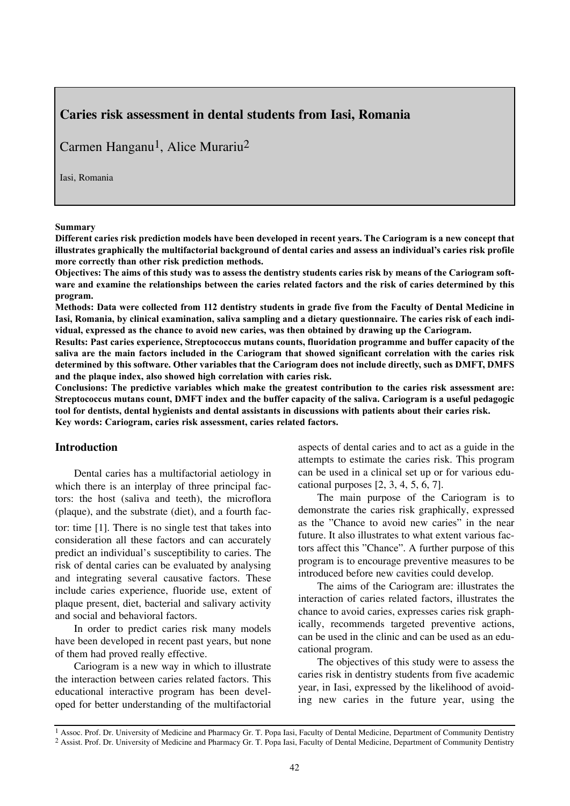# **Caries risk assessment in dental students from Iasi, Romania**

Carmen Hanganu<sup>1</sup>, Alice Murariu<sup>2</sup>

Iasi, Romania

#### **Summary**

**Different caries risk prediction models have been developed in recent years. The Cariogram is a new concept that illustrates graphically the multifactorial background of dental caries and assess an individual's caries risk profile more correctly than other risk prediction methods.**

**Objectives: The aims of this study was to assess the dentistry students caries risk by means of the Cariogram software and examine the relationships between the caries related factors and the risk of caries determined by this program.** 

**Methods: Data were collected from 112 dentistry students in grade five from the Faculty of Dental Medicine in Iasi, Romania, by clinical examination, saliva sampling and a dietary questionnaire. The caries risk of each individual, expressed as the chance to avoid new caries, was then obtained by drawing up the Cariogram.**

**Results: Past caries experience, Streptococcus mutans counts, fluoridation programme and buffer capacity of the saliva are the main factors included in the Cariogram that showed significant correlation with the caries risk determined by this software. Other variables that the Cariogram does not include directly, such as DMFT, DMFS and the plaque index, also showed high correlation with caries risk.**

**Conclusions: The predictive variables which make the greatest contribution to the caries risk assessment are: Streptococcus mutans count, DMFT index and the buffer capacity of the saliva. Cariogram is a useful pedagogic tool for dentists, dental hygienists and dental assistants in discussions with patients about their caries risk. Key words: Cariogram, caries risk assessment, caries related factors.**

# **Introduction**

Dental caries has a multifactorial aetiology in which there is an interplay of three principal factors: the host (saliva and teeth), the microflora (plaque), and the substrate (diet), and a fourth fac-

tor: time [1]. There is no single test that takes into consideration all these factors and can accurately predict an individual's susceptibility to caries. The risk of dental caries can be evaluated by analysing and integrating several causative factors. These include caries experience, fluoride use, extent of plaque present, diet, bacterial and salivary activity and social and behavioral factors.

In order to predict caries risk many models have been developed in recent past years, but none of them had proved really effective.

Cariogram is a new way in which to illustrate the interaction between caries related factors. This educational interactive program has been developed for better understanding of the multifactorial aspects of dental caries and to act as a guide in the attempts to estimate the caries risk. This program can be used in a clinical set up or for various educational purposes [2, 3, 4, 5, 6, 7].

The main purpose of the Cariogram is to demonstrate the caries risk graphically, expressed as the "Chance to avoid new caries" in the near future. It also illustrates to what extent various factors affect this "Chance". A further purpose of this program is to encourage preventive measures to be introduced before new cavities could develop.

The aims of the Cariogram are: illustrates the interaction of caries related factors, illustrates the chance to avoid caries, expresses caries risk graphically, recommends targeted preventive actions, can be used in the clinic and can be used as an educational program.

The objectives of this study were to assess the caries risk in dentistry students from five academic year, in Iasi, expressed by the likelihood of avoiding new caries in the future year, using the

<sup>1</sup> Assoc. Prof. Dr. University of Medicine and Pharmacy Gr. T. Popa Iasi, Faculty of Dental Medicine, Department of Community Dentistry 2 Assist. Prof. Dr. University of Medicine and Pharmacy Gr. T. Popa Iasi, Faculty of Dental Medicine, Department of Community Dentistry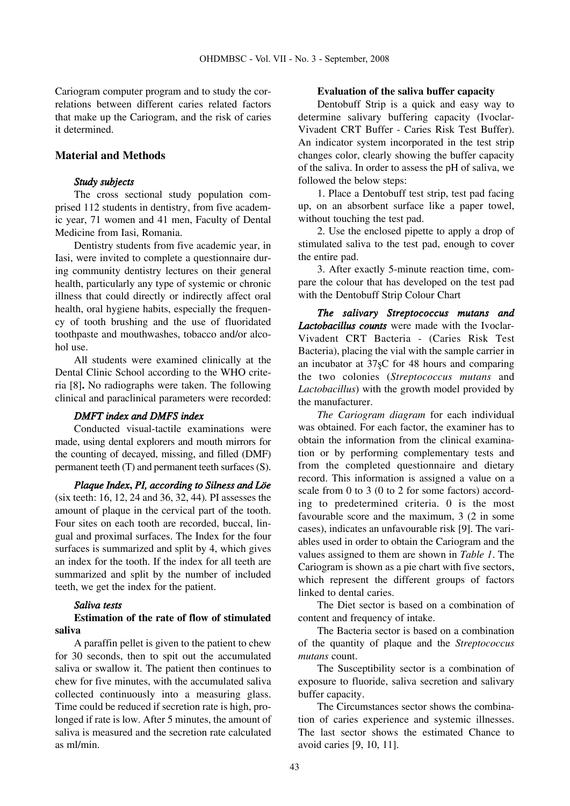Cariogram computer program and to study the correlations between different caries related factors that make up the Cariogram, and the risk of caries it determined.

## **Material and Methods**

#### *Study subjects*

The cross sectional study population comprised 112 students in dentistry, from five academic year, 71 women and 41 men, Faculty of Dental Medicine from Iasi, Romania.

Dentistry students from five academic year, in Iasi, were invited to complete a questionnaire during community dentistry lectures on their general health, particularly any type of systemic or chronic illness that could directly or indirectly affect oral health, oral hygiene habits, especially the frequency of tooth brushing and the use of fluoridated toothpaste and mouthwashes, tobacco and/or alcohol use.

All students were examined clinically at the Dental Clinic School according to the WHO criteria [8]**.** No radiographs were taken. The following clinical and paraclinical parameters were recorded:

#### *DMFT index and DMFS index*

Conducted visual-tactile examinations were made, using dental explorers and mouth mirrors for the counting of decayed, missing, and filled (DMF) permanent teeth (T) and permanent teeth surfaces (S).

*Plaque Index***,** *PI, according to Silness and Löe* (six teeth: 16, 12, 24 and 36, 32, 44)*.* PI assesses the amount of plaque in the cervical part of the tooth. Four sites on each tooth are recorded, buccal, lingual and proximal surfaces. The Index for the four surfaces is summarized and split by 4, which gives an index for the tooth. If the index for all teeth are summarized and split by the number of included teeth, we get the index for the patient.

#### *Saliva tests*

## **Estimation of the rate of flow of stimulated saliva**

A paraffin pellet is given to the patient to chew for 30 seconds, then to spit out the accumulated saliva or swallow it. The patient then continues to chew for five minutes, with the accumulated saliva collected continuously into a measuring glass. Time could be reduced if secretion rate is high, prolonged if rate is low. After 5 minutes, the amount of saliva is measured and the secretion rate calculated as ml/min.

#### **Evaluation of the saliva buffer capacity**

Dentobuff Strip is a quick and easy way to determine salivary buffering capacity (Ivoclar-Vivadent CRT Buffer - Caries Risk Test Buffer). An indicator system incorporated in the test strip changes color, clearly showing the buffer capacity of the saliva. In order to assess the pH of saliva, we followed the below steps:

1. Place a Dentobuff test strip, test pad facing up, on an absorbent surface like a paper towel, without touching the test pad.

2. Use the enclosed pipette to apply a drop of stimulated saliva to the test pad, enough to cover the entire pad.

3. After exactly 5-minute reaction time, compare the colour that has developed on the test pad with the Dentobuff Strip Colour Chart

*The salivary Streptococcus mutans and Lactobacillus counts* were made with the Ivoclar-Vivadent CRT Bacteria - (Caries Risk Test Bacteria), placing the vial with the sample carrier in an incubator at 37sC for 48 hours and comparing the two colonies (*Streptococcus mutans* and *Lactobacillus*) with the growth model provided by the manufacturer.

*The Cariogram diagram* for each individual was obtained. For each factor, the examiner has to obtain the information from the clinical examination or by performing complementary tests and from the completed questionnaire and dietary record. This information is assigned a value on a scale from 0 to 3 (0 to 2 for some factors) according to predetermined criteria. 0 is the most favourable score and the maximum, 3 (2 in some cases), indicates an unfavourable risk [9]. The variables used in order to obtain the Cariogram and the values assigned to them are shown in *Table 1*. The Cariogram is shown as a pie chart with five sectors, which represent the different groups of factors linked to dental caries.

The Diet sector is based on a combination of content and frequency of intake.

The Bacteria sector is based on a combination of the quantity of plaque and the *Streptococcus mutans* count.

The Susceptibility sector is a combination of exposure to fluoride, saliva secretion and salivary buffer capacity.

The Circumstances sector shows the combination of caries experience and systemic illnesses. The last sector shows the estimated Chance to avoid caries [9, 10, 11].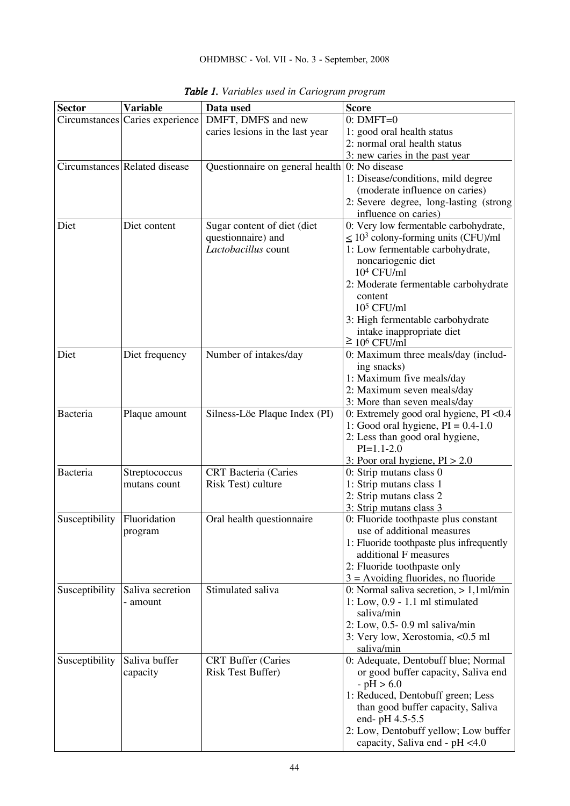| <b>Sector</b>   | <b>Variable</b>                 | Data used                                       | <b>Score</b>                               |
|-----------------|---------------------------------|-------------------------------------------------|--------------------------------------------|
|                 | Circumstances Caries experience | DMFT, DMFS and new                              | $0: DMFT=0$                                |
|                 |                                 | caries lesions in the last year                 | 1: good oral health status                 |
|                 |                                 |                                                 | 2: normal oral health status               |
|                 |                                 |                                                 | 3: new caries in the past year             |
|                 | Circumstances Related disease   | Questionnaire on general health $0:$ No disease |                                            |
|                 |                                 |                                                 | 1: Disease/conditions, mild degree         |
|                 |                                 |                                                 | (moderate influence on caries)             |
|                 |                                 |                                                 | 2: Severe degree, long-lasting (strong     |
|                 |                                 |                                                 | influence on caries)                       |
| Diet            | Diet content                    | Sugar content of diet (diet                     | 0: Very low fermentable carbohydrate,      |
|                 |                                 | questionnaire) and                              | $\leq 10^3$ colony-forming units (CFU)/ml  |
|                 |                                 | Lactobacillus count                             | 1: Low fermentable carbohydrate,           |
|                 |                                 |                                                 | noncariogenic diet                         |
|                 |                                 |                                                 | $104$ CFU/ml                               |
|                 |                                 |                                                 | 2: Moderate fermentable carbohydrate       |
|                 |                                 |                                                 | content                                    |
|                 |                                 |                                                 | $105$ CFU/ml                               |
|                 |                                 |                                                 | 3: High fermentable carbohydrate           |
|                 |                                 |                                                 | intake inappropriate diet                  |
|                 |                                 |                                                 | $\geq 10^6$ CFU/ml                         |
| Diet            | Diet frequency                  | Number of intakes/day                           | 0: Maximum three meals/day (includ-        |
|                 |                                 |                                                 | ing snacks)                                |
|                 |                                 |                                                 | 1: Maximum five meals/day                  |
|                 |                                 |                                                 | 2: Maximum seven meals/day                 |
|                 |                                 |                                                 | 3: More than seven meals/day               |
| <b>Bacteria</b> | Plaque amount                   | Silness-Löe Plaque Index (PI)                   | 0: Extremely good oral hygiene, $PI < 0.4$ |
|                 |                                 |                                                 | 1: Good oral hygiene, $PI = 0.4 - 1.0$     |
|                 |                                 |                                                 | 2: Less than good oral hygiene,            |
|                 |                                 |                                                 | $PI=1.1-2.0$                               |
|                 |                                 |                                                 | 3: Poor oral hygiene, $PI > 2.0$           |
| Bacteria        | Streptococcus                   | <b>CRT</b> Bacteria (Caries                     | 0: Strip mutans class 0                    |
|                 | mutans count                    | Risk Test) culture                              | 1: Strip mutans class 1                    |
|                 |                                 |                                                 | 2: Strip mutans class 2                    |
|                 |                                 |                                                 | 3: Strip mutans class 3                    |
| Susceptibility  | Fluoridation                    | Oral health questionnaire                       | 0: Fluoride toothpaste plus constant       |
|                 | program                         |                                                 | use of additional measures                 |
|                 |                                 |                                                 | 1: Fluoride toothpaste plus infrequently   |
|                 |                                 |                                                 | additional F measures                      |
|                 |                                 |                                                 | 2: Fluoride toothpaste only                |
|                 |                                 |                                                 | $3 =$ Avoiding fluorides, no fluoride      |
| Susceptibility  | Saliva secretion                | Stimulated saliva                               | 0: Normal saliva secretion, $> 1,1$ ml/min |
|                 | - amount                        |                                                 | $1: Low, 0.9 - 1.1 ml stimulated$          |
|                 |                                 |                                                 | saliva/min                                 |
|                 |                                 |                                                 | $2: Low, 0.5-0.9 ml$ saliva/min            |
|                 |                                 |                                                 | 3: Very low, Xerostomia, <0.5 ml           |
|                 |                                 |                                                 | saliva/min                                 |
| Susceptibility  | Saliva buffer                   | <b>CRT</b> Buffer (Caries                       | 0: Adequate, Dentobuff blue; Normal        |
|                 | capacity                        | <b>Risk Test Buffer)</b>                        | or good buffer capacity, Saliva end        |
|                 |                                 |                                                 | $-pH > 6.0$                                |
|                 |                                 |                                                 | 1: Reduced, Dentobuff green; Less          |
|                 |                                 |                                                 | than good buffer capacity, Saliva          |
|                 |                                 |                                                 | end- pH 4.5-5.5                            |
|                 |                                 |                                                 | 2: Low, Dentobuff yellow; Low buffer       |
|                 |                                 |                                                 | capacity, Saliva end - pH <4.0             |

*Table 1. Variables used in Cariogram program*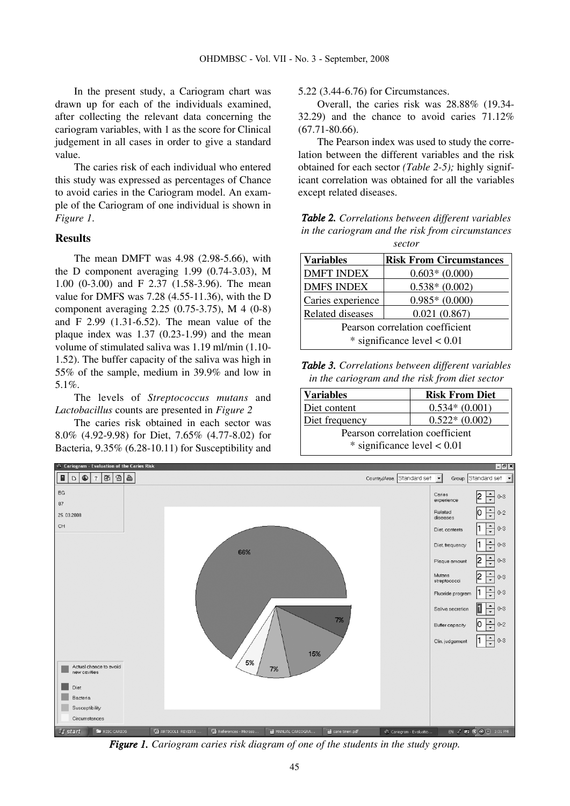In the present study, a Cariogram chart was drawn up for each of the individuals examined, after collecting the relevant data concerning the cariogram variables, with 1 as the score for Clinical judgement in all cases in order to give a standard value.

The caries risk of each individual who entered this study was expressed as percentages of Chance to avoid caries in the Cariogram model. An example of the Cariogram of one individual is shown in *Figure 1*.

## **Results**

The mean DMFT was 4.98 (2.98-5.66), with the D component averaging 1.99 (0.74-3.03), M 1.00 (0-3.00) and F 2.37 (1.58-3.96). The mean value for DMFS was 7.28 (4.55-11.36), with the D component averaging 2.25 (0.75-3.75), M 4 (0-8) and F 2.99 (1.31-6.52). The mean value of the plaque index was 1.37 (0.23-1.99) and the mean volume of stimulated saliva was 1.19 ml/min (1.10- 1.52). The buffer capacity of the saliva was high in 55% of the sample, medium in 39.9% and low in 5.1%.

The levels of *Streptococcus mutans* and *Lactobacillus* counts are presented in *Figure 2*

The caries risk obtained in each sector was 8.0% (4.92-9.98) for Diet, 7.65% (4.77-8.02) for Bacteria, 9.35% (6.28-10.11) for Susceptibility and 5.22 (3.44-6.76) for Circumstances.

Overall, the caries risk was 28.88% (19.34- 32.29) and the chance to avoid caries 71.12% (67.71-80.66).

The Pearson index was used to study the correlation between the different variables and the risk obtained for each sector *(Table 2-5);* highly significant correlation was obtained for all the variables except related diseases.

*Table 2. Correlations between different variables in the cariogram and the risk from circumstances sector*

| <b>Variables</b>                | <b>Risk From Circumstances</b> |  |
|---------------------------------|--------------------------------|--|
| <b>DMFT INDEX</b>               | $0.603*(0.000)$                |  |
| <b>DMFS INDEX</b>               | $0.538*(0.002)$                |  |
| Caries experience               | $0.985*(0.000)$                |  |
| Related diseases                | 0.021(0.867)                   |  |
| Pearson correlation coefficient |                                |  |
| $*$ significance level $< 0.01$ |                                |  |

*Table 3. Correlations between different variables in the cariogram and the risk from diet sector*

| Variables                       | <b>Risk From Diet</b> |  |
|---------------------------------|-----------------------|--|
| Diet content                    | $0.534*(0.001)$       |  |
| Diet frequency                  | $0.522*(0.002)$       |  |
| Pearson correlation coefficient |                       |  |
| $*$ significance level $< 0.01$ |                       |  |



*Figure 1. Cariogram caries risk diagram of one of the students in the study group.*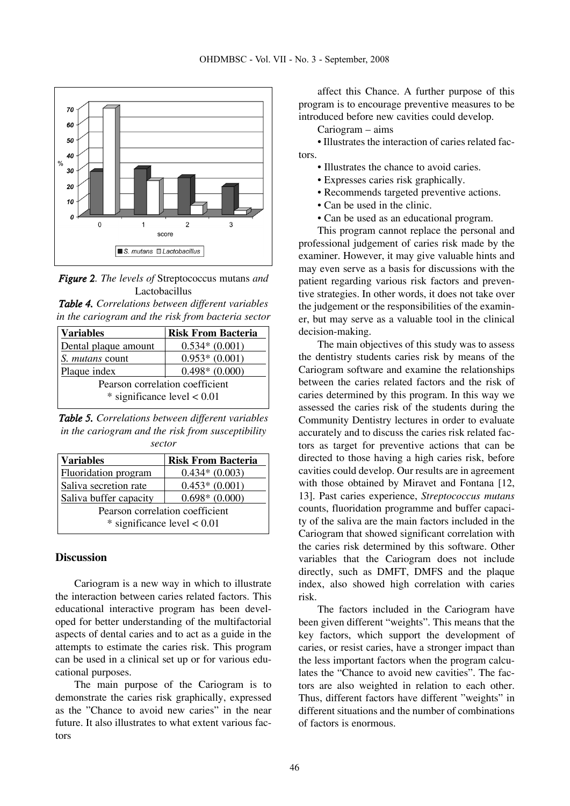



| <b>Table 4.</b> Correlations between different variables |  |  |
|----------------------------------------------------------|--|--|
| in the cariogram and the risk from bacteria sector       |  |  |

| <b>Variables</b>                | <b>Risk From Bacteria</b> |  |
|---------------------------------|---------------------------|--|
| Dental plaque amount            | $0.534*(0.001)$           |  |
| S. <i>mutans</i> count          | $0.953*(0.001)$           |  |
| Plaque index                    | $0.498*(0.000)$           |  |
| Pearson correlation coefficient |                           |  |
| $*$ significance level $< 0.01$ |                           |  |

*Table 5. Correlations between different variables in the cariogram and the risk from susceptibility sector*

| <b>Variables</b>                | <b>Risk From Bacteria</b> |  |
|---------------------------------|---------------------------|--|
| Fluoridation program            | $0.434*(0.003)$           |  |
| Saliva secretion rate           | $0.453*(0.001)$           |  |
| Saliva buffer capacity          | $0.698*(0.000)$           |  |
| Pearson correlation coefficient |                           |  |
| $*$ significance level $< 0.01$ |                           |  |

## **Discussion**

Cariogram is a new way in which to illustrate the interaction between caries related factors. This educational interactive program has been developed for better understanding of the multifactorial aspects of dental caries and to act as a guide in the attempts to estimate the caries risk. This program can be used in a clinical set up or for various educational purposes.

The main purpose of the Cariogram is to demonstrate the caries risk graphically, expressed as the "Chance to avoid new caries" in the near future. It also illustrates to what extent various factors

affect this Chance. A further purpose of this program is to encourage preventive measures to be introduced before new cavities could develop.

Cariogram – aims

• Illustrates the interaction of caries related factors.

• Illustrates the chance to avoid caries.

- Expresses caries risk graphically.
- Recommends targeted preventive actions.
- Can be used in the clinic.
- Can be used as an educational program.

This program cannot replace the personal and professional judgement of caries risk made by the examiner. However, it may give valuable hints and may even serve as a basis for discussions with the patient regarding various risk factors and preventive strategies. In other words, it does not take over the judgement or the responsibilities of the examiner, but may serve as a valuable tool in the clinical decision-making.

The main objectives of this study was to assess the dentistry students caries risk by means of the Cariogram software and examine the relationships between the caries related factors and the risk of caries determined by this program. In this way we assessed the caries risk of the students during the Community Dentistry lectures in order to evaluate accurately and to discuss the caries risk related factors as target for preventive actions that can be directed to those having a high caries risk, before cavities could develop. Our results are in agreement with those obtained by Miravet and Fontana [12, 13]. Past caries experience, *Streptococcus mutans* counts, fluoridation programme and buffer capacity of the saliva are the main factors included in the Cariogram that showed significant correlation with the caries risk determined by this software. Other variables that the Cariogram does not include directly, such as DMFT, DMFS and the plaque index, also showed high correlation with caries risk.

The factors included in the Cariogram have been given different "weights". This means that the key factors, which support the development of caries, or resist caries, have a stronger impact than the less important factors when the program calculates the "Chance to avoid new cavities". The factors are also weighted in relation to each other. Thus, different factors have different "weights" in different situations and the number of combinations of factors is enormous.